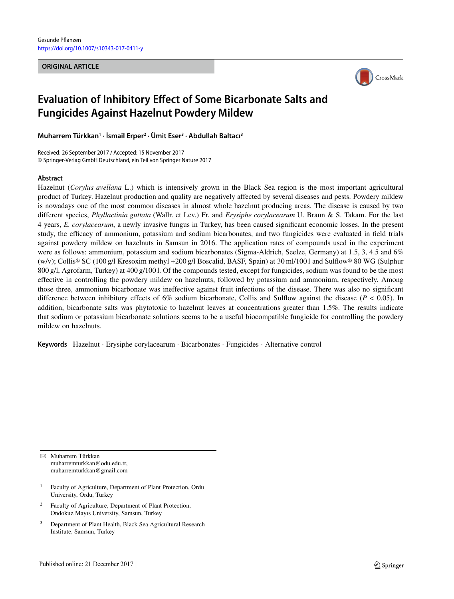#### **ORIGINAL ARTICLE**



# **Evaluation of Inhibitory Effect of Some Bicarbonate Salts and Fungicides Against Hazelnut Powdery Mildew**

**Muharrem Türkkan1 · İsmail Erper2 · Ümit Eser3 · Abdullah Baltacı3**

Received: 26 September 2017 / Accepted: 15 November 2017 © Springer-Verlag GmbH Deutschland, ein Teil von Springer Nature 2017

### **Abstract**

Hazelnut (*Corylus avellana* L.) which is intensively grown in the Black Sea region is the most important agricultural product of Turkey. Hazelnut production and quality are negatively affected by several diseases and pests. Powdery mildew is nowadays one of the most common diseases in almost whole hazelnut producing areas. The disease is caused by two different species, *Phyllactinia guttata* (Wallr. et Lev.) Fr. and *Erysiphe corylacearum* U. Braun & S. Takam. For the last 4 years, *E. corylacearum*, a newly invasive fungus in Turkey, has been caused significant economic losses. In the present study, the efficacy of ammonium, potassium and sodium bicarbonates, and two fungicides were evaluated in field trials against powdery mildew on hazelnuts in Samsun in 2016. The application rates of compounds used in the experiment were as follows: ammonium, potassium and sodium bicarbonates (Sigma-Aldrich, Seelze, Germany) at 1.5, 3, 4.5 and 6% (w/v); Collis® SC (100 g/l Kresoxim methyl +200 g/l Boscalid, BASF, Spain) at 30 ml/100 l and Sulflow® 80 WG (Sulphur 800 g/l, Agrofarm, Turkey) at 400 g/100 l. Of the compounds tested, except for fungicides, sodium was found to be the most effective in controlling the powdery mildew on hazelnuts, followed by potassium and ammonium, respectively. Among those three, ammonium bicarbonate was ineffective against fruit infections of the disease. There was also no significant difference between inhibitory effects of 6% sodium bicarbonate, Collis and Sulflow against the disease (*P* < 0.05). In addition, bicarbonate salts was phytotoxic to hazelnut leaves at concentrations greater than 1.5%. The results indicate that sodium or potassium bicarbonate solutions seems to be a useful biocompatible fungicide for controlling the powdery mildew on hazelnuts.

**Keywords** Hazelnut · Erysiphe corylacearum · Bicarbonates · Fungicides · Alternative control

- Muharrem Türkkan muharremturkkan@odu.edu.tr, muharremturkkan@gmail.com

- Faculty of Agriculture, Department of Plant Protection, Ordu University, Ordu, Turkey
- <sup>2</sup> Faculty of Agriculture, Department of Plant Protection, Ondokuz Mayıs University, Samsun, Turkey
- <sup>3</sup> Department of Plant Health, Black Sea Agricultural Research Institute, Samsun, Turkey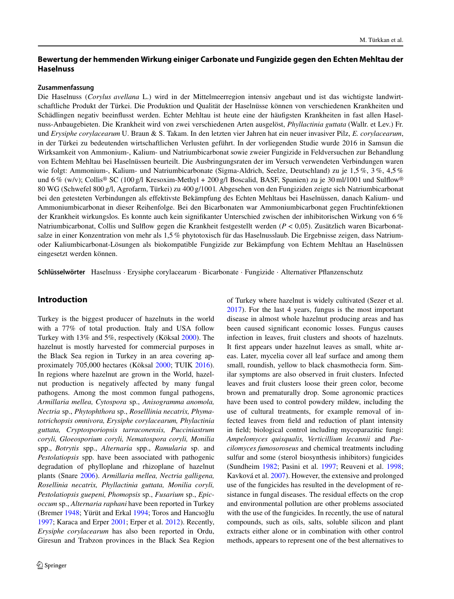# **Bewertung der hemmenden Wirkung einiger Carbonate und Fungizide gegen den Echten Mehltau der Haselnuss**

#### **Zusammenfassung**

Die Haselnuss (*Corylus avellana* L.) wird in der Mittelmeerregion intensiv angebaut und ist das wichtigste landwirtschaftliche Produkt der Türkei. Die Produktion und Qualität der Haselnüsse können von verschiedenen Krankheiten und Schädlingen negativ beeinflusst werden. Echter Mehltau ist heute eine der häufigsten Krankheiten in fast allen Haselnuss-Anbaugebieten. Die Krankheit wird von zwei verschiedenen Arten ausgelöst, *Phyllactinia guttata* (Wallr. et Lev.) Fr. und *Erysiphe corylacearum* U. Braun & S. Takam. In den letzten vier Jahren hat ein neuer invasiver Pilz, *E. corylacearum*, in der Türkei zu bedeutenden wirtschaftlichen Verlusten geführt. In der vorliegenden Studie wurde 2016 in Samsun die Wirksamkeit von Ammonium-, Kalium- und Natriumbicarbonat sowie zweier Fungizide in Feldversuchen zur Behandlung von Echtem Mehltau bei Haselnüssen beurteilt. Die Ausbringungsraten der im Versuch verwendeten Verbindungen waren wie folgt: Ammonium-, Kalium- und Natriumbicarbonate (Sigma-Aldrich, Seelze, Deutschland) zu je 1,5 %, 3 %, 4,5 % und 6 % (w/v); Collis<sup>®</sup> SC (100 g/l Kresoxim-Methyl + 200 g/l Boscalid, BASF, Spanien) zu je 30 ml/1001 und Sulflow® 80 WG (Schwefel 800 g/l, Agrofarm, Türkei) zu 400 g/100 l. Abgesehen von den Fungiziden zeigte sich Natriumbicarbonat bei den getesteten Verbindungen als effektivste Bekämpfung des Echten Mehltaus bei Haselnüssen, danach Kalium- und Ammoniumbicarbonat in dieser Reihenfolge. Bei den Bicarbonaten war Ammoniumbicarbonat gegen Fruchtinfektionen der Krankheit wirkungslos. Es konnte auch kein signifikanter Unterschied zwischen der inhibitorischen Wirkung von 6 % Natriumbicarbonat, Collis und Sulflow gegen die Krankheit festgestellt werden (*P* < 0,05). Zusätzlich waren Bicarbonatsalze in einer Konzentration von mehr als 1,5 % phytotoxisch für das Haselnusslaub. Die Ergebnisse zeigen, dass Natriumoder Kaliumbicarbonat-Lösungen als biokompatible Fungizide zur Bekämpfung von Echtem Mehltau an Haselnüssen eingesetzt werden können.

**Schlüsselwörter** Haselnuss · Erysiphe corylacearum · Bicarbonate · Fungizide · Alternativer Pflanzenschutz

# **Introduction**

Turkey is the biggest producer of hazelnuts in the world with a 77% of total production. Italy and USA follow Turkey with 13% and 5%, respectively (Köksal [2000\)](#page-4-0). The hazelnut is mostly harvested for commercial purposes in the Black Sea region in Turkey in an area covering approximately 705,000 hectares (Köksal [2000;](#page-4-0) TUIK [2016\)](#page-5-0). In regions where hazelnut are grown in the World, hazelnut production is negatively affected by many fungal pathogens. Among the most common fungal pathogens, *Armillaria mellea, Cytospora* sp., *Anisogramma anomola, Nectria* sp., *Phytophthora* sp., *Roselllinia necatrix, Phymatotrichopsis omnivora, Erysiphe corylacearum, Phylactinia guttata, Cryptosporiopsis tarraconensis, Pucciniastrum coryli, Gloeosporium coryli, Nematospora coryli, Monilia* spp., *Botrytis* spp., *Alternaria* spp., *Ramularia* sp. and *Pestolatiopsis* spp. have been associated with pathogenic degradation of phylloplane and rhizoplane of hazelnut plants (Snare [2006\)](#page-5-1). *Armillaria mellea, Nectria galligena, Rosellinia necatrix, Phyllactinia guttata, Monilia coryli, Pestolatiopsis guepeni, Phomopsis* sp., *Fusarium* sp., *Epicoccum* sp., *Alternaria raphani* have been reported in Turkey (Bremer [1948;](#page-4-1) Yürüt and Erkal [1994;](#page-5-2) Toros and Hancıoğlu [1997;](#page-5-3) Karaca and Erper [2001;](#page-4-2) Erper et al. [2012\)](#page-4-3). Recently, *Erysiphe corylacearum* has also been reported in Ordu, Giresun and Trabzon provinces in the Black Sea Region

of Turkey where hazelnut is widely cultivated (Sezer et al. [2017\)](#page-5-4). For the last 4 years, fungus is the most important disease in almost whole hazelnut producing areas and has been caused significant economic losses. Fungus causes infection in leaves, fruit clusters and shoots of hazelnuts. It first appears under hazelnut leaves as small, white areas. Later, mycelia cover all leaf surface and among them small, roundish, yellow to black chasmothecia form. Similar symptoms are also observed in fruit clusters. Infected leaves and fruit clusters loose their green color, become brown and prematurally drop. Some agronomic practices have been used to control powdery mildew, including the use of cultural treatments, for example removal of infected leaves from field and reduction of plant intensity in field; biological control including mycoparazitic fungi: *Ampelomyces quisqualis, Verticillium lecannii* and *Paecilomyces fumosoroseus* and chemical treatments including sulfur and some (sterol biosynthesis inhibitors) fungicides (Sundheim [1982;](#page-5-5) Pasini et al. [1997;](#page-4-4) Reuveni et al. [1998;](#page-5-6) Kavková et al. [2007\)](#page-4-5). However, the extensive and prolonged use of the fungicides has resulted in the development of resistance in fungal diseases. The residual effects on the crop and environmental pollution are other problems associated with the use of the fungicides. In recently, the use of natural compounds, such as oils, salts, soluble silicon and plant extracts either alone or in combination with other control methods, appears to represent one of the best alternatives to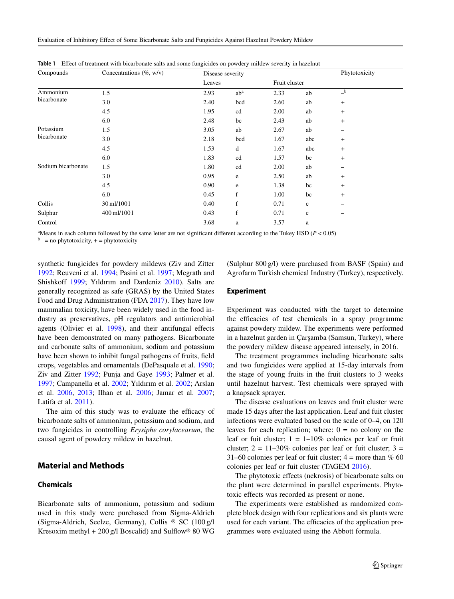| Compounds                | Concentrations $(\% , w/v)$ | Disease severity |             |               |             | Phytotoxicity             |  |
|--------------------------|-----------------------------|------------------|-------------|---------------|-------------|---------------------------|--|
|                          |                             | Leaves           |             | Fruit cluster |             |                           |  |
| Ammonium<br>bicarbonate  | 1.5                         | 2.93             | $ab^a$      | 2.33          | ab          | $\mathbf{-}^{\mathbf{b}}$ |  |
|                          | 3.0                         | 2.40             | bcd         | 2.60          | ab          | $\ddot{}$                 |  |
|                          | 4.5                         | 1.95             | cd          | 2.00          | ab          | $\ddot{}$                 |  |
|                          | 6.0                         | 2.48             | bc          | 2.43          | ab          | $\ddot{}$                 |  |
| Potassium<br>bicarbonate | 1.5                         | 3.05             | ab          | 2.67          | ab          | -                         |  |
|                          | 3.0                         | 2.18             | bcd         | 1.67          | abc         | $\ddot{}$                 |  |
|                          | 4.5                         | 1.53             | d           | 1.67          | abc         | $\ddot{}$                 |  |
|                          | 6.0                         | 1.83             | cd          | 1.57          | bc          | $\ddot{}$                 |  |
| Sodium bicarbonate       | 1.5                         | 1.80             | cd          | 2.00          | ab          | -                         |  |
|                          | 3.0                         | 0.95             | e           | 2.50          | ab          | $\ddot{}$                 |  |
|                          | 4.5                         | 0.90             | e           | 1.38          | bc          | $\ddot{}$                 |  |
|                          | 6.0                         | 0.45             | $\mathbf f$ | 1.00          | bc          | $\ddot{}$                 |  |
| Collis                   | 30 ml/1001                  | 0.40             | $\mathbf f$ | 0.71          | $\mathbf c$ |                           |  |
| Sulphur                  | 400 ml/1001                 | 0.43             | f           | 0.71          | $\mathbf c$ |                           |  |
| Control                  |                             | 3.68             | a           | 3.57          | a           |                           |  |

<span id="page-2-0"></span>**Table 1** Effect of treatment with bicarbonate salts and some fungicides on powdery mildew severity in hazelnut

 $A$ Means in each column followed by the same letter are not significant different according to the Tukey HSD ( $P < 0.05$ )

 $b$ <sup>-</sup> = no phytotoxicity, + = phytotoxicity

synthetic fungicides for powdery mildews (Ziv and Zitter [1992;](#page-5-7) Reuveni et al. [1994;](#page-5-8) Pasini et al. [1997;](#page-4-4) Mcgrath and Shishkoff [1999;](#page-4-6) Yıldırım and Dardeniz [2010\)](#page-5-9). Salts are generally recognized as safe (GRAS) by the United States Food and Drug Administration (FDA [2017\)](#page-4-7). They have low mammalian toxicity, have been widely used in the food industry as preservatives, pH regulators and antimicrobial agents (Olivier et al. [1998\)](#page-4-8), and their antifungal effects have been demonstrated on many pathogens. Bicarbonate and carbonate salts of ammonium, sodium and potassium have been shown to inhibit fungal pathogens of fruits, field crops, vegetables and ornamentals (DePasquale et al. [1990;](#page-4-9) Ziv and Zitter [1992;](#page-5-7) Punja and Gaye [1993;](#page-5-10) Palmer et al. [1997;](#page-4-10) Campanella et al. [2002;](#page-4-11) Yıldırım et al. [2002;](#page-5-11) Arslan et al. [2006,](#page-4-12) [2013;](#page-4-13) Ilhan et al. [2006;](#page-4-14) Jamar et al. [2007;](#page-4-15) Latifa et al. [2011\)](#page-4-16).

The aim of this study was to evaluate the efficacy of bicarbonate salts of ammonium, potassium and sodium, and two fungicides in controlling *Erysiphe corylacearum*, the causal agent of powdery mildew in hazelnut.

# **Material and Methods**

## **Chemicals**

Bicarbonate salts of ammonium, potassium and sodium used in this study were purchased from Sigma-Aldrich (Sigma-Aldrich, Seelze, Germany), Collis ® SC (100 g/l Kresoxim methyl + 200 g/l Boscalid) and Sulflow® 80 WG (Sulphur 800 g/l) were purchased from BASF (Spain) and Agrofarm Turkish chemical Industry (Turkey), respectively.

#### **Experiment**

Experiment was conducted with the target to determine the efficacies of test chemicals in a spray programme against powdery mildew. The experiments were performed in a hazelnut garden in Çarşamba (Samsun, Turkey), where the powdery mildew disease appeared intensely, in 2016.

The treatment programmes including bicarbonate salts and two fungicides were applied at 15-day intervals from the stage of young fruits in the fruit clusters to 3 weeks until hazelnut harvest. Test chemicals were sprayed with a knapsack sprayer.

The disease evaluations on leaves and fruit cluster were made 15 days after the last application. Leaf and fuit cluster infections were evaluated based on the scale of 0–4, on 120 leaves for each replication; where:  $0 = no$  colony on the leaf or fuit cluster;  $1 = 1 - 10\%$  colonies per leaf or fruit cluster;  $2 = 11 - 30\%$  colonies per leaf or fuit cluster;  $3 =$ 31–60 colonies per leaf or fuit cluster;  $4 =$  more than % 60 colonies per leaf or fuit cluster (TAGEM [2016\)](#page-5-12).

The phytotoxic effects (nekrosis) of bicarbonate salts on the plant were determined in parallel experiments. Phytotoxic effects was recorded as present or none.

The experiments were established as randomized complete block design with four replications and six plants were used for each variant. The efficacies of the application programmes were evaluated using the Abbott formula.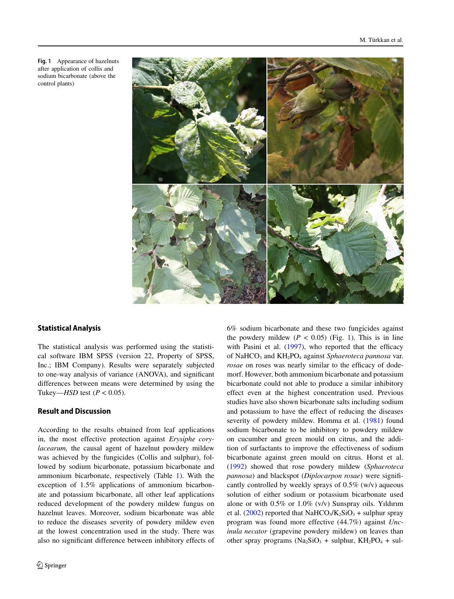

#### <span id="page-3-0"></span>**Fig. 1** Appearance of hazelnuts after application of collis and sodium bicarbonate (above the control plants)

## **Statistical Analysis**

The statistical analysis was performed using the statistical software IBM SPSS (version 22, Property of SPSS, Inc.; IBM Company). Results were separately subjected to one-way analysis of variance (ANOVA), and significant differences between means were determined by using the Tukey—*HSD* test ( $P < 0.05$ ).

## **Result and Discussion**

According to the results obtained from leaf applications in, the most effective protection against *Erysiphe corylacearum,* the causal agent of hazelnut powdery mildew was achieved by the fungicides (Collis and sulphur), followed by sodium bicarbonate, potassium bicarbonate and ammonium bicarbonate, respectively (Table [1\)](#page-2-0). With the exception of 1.5% applications of ammonium bicarbonate and potassium bicarbonate, all other leaf applications reduced development of the powdery mildew fungus on hazelnut leaves. Moreover, sodium bicarbonate was able to reduce the diseases severity of powdery mildew even at the lowest concentration used in the study. There was also no significant difference between inhibitory effects of 6% sodium bicarbonate and these two fungicides against the powdery mildew  $(P < 0.05)$  (Fig. [1\)](#page-3-0). This is in line with Pasini et al. [\(1997\)](#page-4-4), who reported that the efficacy of NaHCO<sub>3</sub> and KH<sub>2</sub>PO<sub>4</sub> against *Sphaeroteca pannosa* var. *rosae* on roses was nearly similar to the efficacy of dodemorf. However, both ammonium bicarbonate and potassium bicarbonate could not able to produce a similar inhibitory effect even at the highest concentration used. Previous studies have also shown bicarbonate salts including sodium and potassium to have the effect of reducing the diseases severity of powdery mildew. Homma et al. [\(1981\)](#page-4-17) found sodium bicarbonate to be inhibitory to powdery mildew on cucumber and green mould on citrus, and the addition of surfactants to improve the effectiveness of sodium bicarbonate against green mould on citrus. Horst et al. [\(1992\)](#page-4-18) showed that rose powdery mildew (*Sphaeroteca pannosa*) and blackspot (*Diplocarpon rosae*) were significantly controlled by weekly sprays of 0.5% (w/v) aqueous solution of either sodium or potassium bicarbonate used alone or with 0.5% or 1.0% (v/v) Sunspray oils. Yıldırım et al. [\(2002\)](#page-5-11) reported that NaHCO<sub>3</sub>/K<sub>2</sub>SiO<sub>3</sub> + sulphur spray program was found more effective (44.7%) against *Uncinula necator* (grapevine powdery mildew) on leaves than other spray programs  $(Na_2SiO_3 + \text{subp}N$ ,  $KH_2PO_4 + \text{subl}$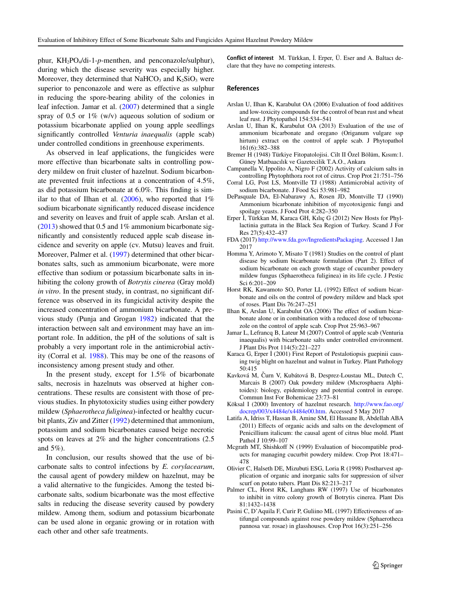phur, KH2PO4/di-1-*p*-menthen, and penconazole/sulphur), during which the disease severity was especially higher. Moreover, they determined that  $NaHCO<sub>3</sub>$  and  $K<sub>2</sub>SiO<sub>3</sub>$  were superior to penconazole and were as effective as sulphur in reducing the spore-bearing ability of the colonies in leaf infection. Jamar et al. [\(2007\)](#page-4-15) determined that a single spray of 0.5 or  $1\%$  (w/v) aqueous solution of sodium or potassium bicarbonate applied on young apple seedlings significantly controlled *Venturia inaequalis* (apple scab) under controlled conditions in greenhouse experiments.

As observed in leaf applications, the fungicides were more effective than bicarbonate salts in controlling powdery mildew on fruit cluster of hazelnut. Sodium bicarbonate prevented fruit infections at a concentration of 4.5%, as did potassium bicarbonate at 6.0%. This finding is similar to that of Ilhan et al.  $(2006)$ , who reported that  $1\%$ sodium bicarbonate significantly reduced disease incidence and severity on leaves and fruit of apple scab. Arslan et al.  $(2013)$  showed that 0.5 and 1% ammonium bicarbonate significantly and consistently reduced apple scab disease incidence and severity on apple (cv. Mutsu) leaves and fruit. Moreover, Palmer et al. [\(1997\)](#page-4-10) determined that other bicarbonates salts, such as ammonium bicarbonate, were more effective than sodium or potassium bicarbonate salts in inhibiting the colony growth of *Botrytis cinerea* (Gray mold) *in vitro*. In the present study, in contrast, no significant difference was observed in its fungicidal activity despite the increased concentration of ammonium bicarbonate. A previous study (Punja and Grogan [1982\)](#page-5-13) indicated that the interaction between salt and environment may have an important role. In addition, the pH of the solutions of salt is probably a very important role in the antimicrobial activity (Corral et al. [1988\)](#page-4-19). This may be one of the reasons of inconsistency among present study and other.

In the present study, except for 1.5% of bicarbonate salts, necrosis in hazelnuts was observed at higher concentrations. These results are consistent with those of previous studies. In phytotoxicity studies using either powdery mildew (*Sphaerotheca fuliginea*)-infected or healthy cucurbit plants, Ziv and Zitter [\(1992\)](#page-5-7) determined that ammonium, potassium and sodium bicarbonates caused beige necrotic spots on leaves at 2% and the higher concentrations (2.5 and 5%).

In conclusion, our results showed that the use of bicarbonate salts to control infections by *E. corylacearum*, the causal agent of powdery mildew on hazelnut, may be a valid alternative to the fungicides. Among the tested bicarbonate salts, sodium bicarbonate was the most effective salts in reducing the disease severity caused by powdery mildew. Among them, sodium and potassium bicarbonate can be used alone in organic growing or in rotation with each other and other safe treatments.

**Conflict of interest** M. Türkkan, İ. Erper, Ü. Eser and A. Baltacı declare that they have no competing interests.

#### **References**

- <span id="page-4-12"></span>Arslan U, Ilhan K, Karabulut OA (2006) Evaluation of food additives and low-toxicity compounds for the control of bean rust and wheat leaf rust. J Phytopathol 154:534–541
- <span id="page-4-13"></span>Arslan U, Ilhan K, Karabulut OA (2013) Evaluation of the use of ammonium bicarbonate and oregano (Origanum vulgare ssp hirtum) extract on the control of apple scab. J Phytopathol 161(6):382–388
- <span id="page-4-1"></span>Bremer H (1948) Türkiye Fitopatolojisi. Cilt II Özel Bölüm, Kısım:1. Güney Matbaacılık ve Gazetecilik T.A.O., Ankara
- <span id="page-4-19"></span><span id="page-4-11"></span>Campanella V, Ippolito A, Nigro F (2002) Activity of calcium salts in controlling Phytophthora root rot of citrus. Crop Prot 21:751–756
- <span id="page-4-9"></span>Corral LG, Post LS, Montville TJ (1988) Antimicrobial activity of sodium bicarbonate. J Food Sci 53:981–982
- DePasquale DA, El-Nabarawy A, Rosen JD, Montville TJ (1990) Ammonium bicarbonate inhibition of mycotoxigenic fungi and spoilage yeasts. J Food Prot 4:282–350
- <span id="page-4-3"></span>Erper İ, Türkkan M, Karaca GH, Kılıç G (2012) New Hosts for Phyllactinia guttata in the Black Sea Region of Turkey. Scand J For Res 27(5):432–437
- <span id="page-4-7"></span>FDA (2017) [http://www.fda.gov/IngredientsPackaging.](http://www.fda.gov/IngredientsPackaging) Accessed 1 Jan 2017
- <span id="page-4-17"></span>Homma Y, Arimoto Y, Misato T (1981) Studies on the control of plant disease by sodium bicarbonate formulation (Part 2). Effect of sodium bicarbonate on each growth stage of cucumber powdery mildew fungus (Sphaerotheca fuliginea) in its life cycle. J Pestic Sci 6:201–209
- <span id="page-4-18"></span>Horst RK, Kawamoto SO, Porter LL (1992) Effect of sodium bicarbonate and oils on the control of powdery mildew and black spot of roses. Plant Dis 76:247–251
- <span id="page-4-14"></span>Ilhan K, Arslan U, Karabulut OA (2006) The effect of sodium bicarbonate alone or in combination with a reduced dose of tebuconazole on the control of apple scab. Crop Prot 25:963–967
- <span id="page-4-15"></span>Jamar L, Lefrancq B, Lateur M (2007) Control of apple scab (Venturia inaequalis) with bicarbonate salts under controlled environment. J Plant Dis Prot 114(5):221–227
- <span id="page-4-2"></span>Karaca G, Erper İ (2001) First Report of Pestalotiopsis guepinii causing twig blight on hazelnut and walnut in Turkey. Plant Pathology 50:415
- <span id="page-4-5"></span>Kavková M, Čurn V, Kubátová B, Desprez-Loustau ML, Dutech C, Marcais B (2007) Oak powdery mildew (Mıcrosphaera Alphitoides): biology, epidemiology and potential control in europe. Commun Inst For Bohemicae 23:73–81
- <span id="page-4-0"></span>Köksal I (2000) Inventory of hazelnut research. [http://www.fao.org/](http://www.fao.org/docrep/003/x4484e/x4484e00.htm) [docrep/003/x4484e/x4484e00.htm.](http://www.fao.org/docrep/003/x4484e/x4484e00.htm) Accessed 5 May 2017
- <span id="page-4-16"></span>Latifa A, Idriss T, Hassan B, Amine SM, El Hassane B, Abdellah ABA (2011) Effects of organic acids and salts on the development of Penicillium italicum: the causal agent of citrus blue mold. Plant Pathol J 10:99–107
- <span id="page-4-6"></span>Mcgrath MT, Shishkoff N (1999) Evaluation of biocompatible products for managing cucurbit powdery mildew. Crop Prot 18:471– 478
- <span id="page-4-8"></span>Olivier C, Halseth DE, Mizubuti ESG, Loria R (1998) Postharvest application of organic and inorganic salts for suppression of silver scurf on potato tubers. Plant Dis 82:213–217
- <span id="page-4-10"></span>Palmer CL, Horst RK, Langhans RW (1997) Use of bicarbonates to inhibit in vitro colony growth of Botrytis cinerea. Plant Dis 81:1432–1438
- <span id="page-4-4"></span>Pasini C, D'Aquila F, Curir P, Guliino ML (1997) Effectiveness of antifungal compounds against rose powdery mildew (Sphaerotheca pannosa var. rosae) in glasshouses. Crop Prot 16(3):251–256